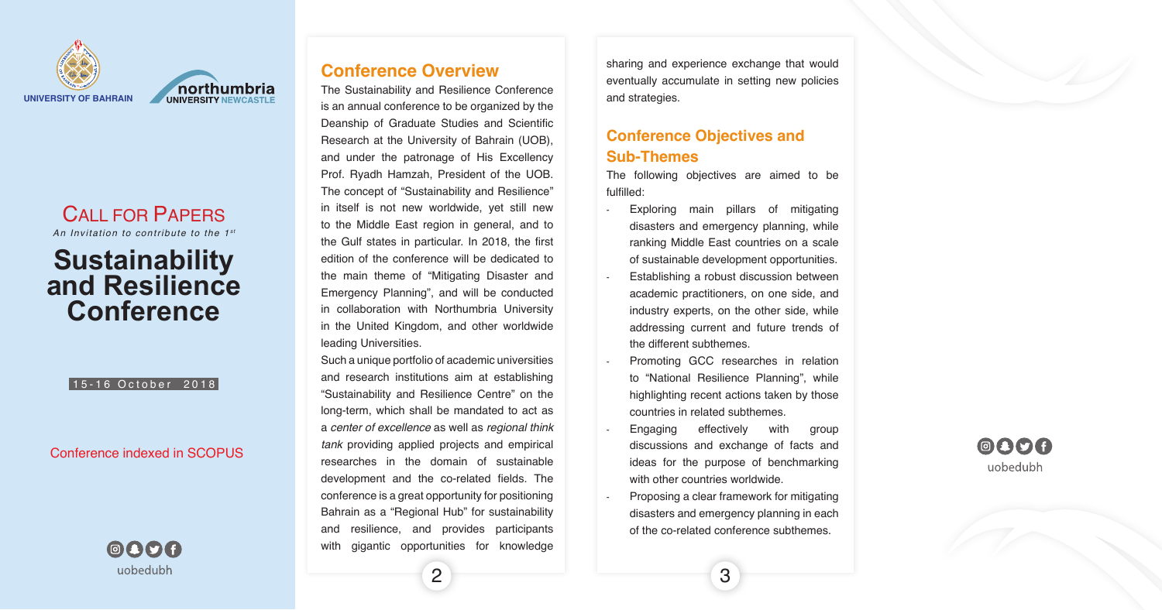

northumbria

# CALL FOR PAPERS

An Invitation to contribute to the 1<sup>st</sup>

The following objectives are aimed to be :fulfilled

- Exploring main pillars of mitigating disasters and emergency planning, while ranking Middle East countries on a scale of sustainable development opportunities.
- Establishing a robust discussion between academic practitioners, on one side, and industry experts, on the other side, while addressing current and future trends of the different subthemes.
- Promoting GCC researches in relation to "National Resilience Planning", while highlighting recent actions taken by those countries in related subthemes.
- Engaging effectively with group discussions and exchange of facts and ideas for the purpose of benchmarking with other countries worldwide.
- Proposing a clear framework for mitigating disasters and emergency planning in each of the co-related conference subthemes.

3 2







# **Sustainability** and Resilience **Conference**

#### 15-16 October 2018

#### Conference indexed in SCOPUS



## **Conference Overview**

The Sustainability and Resilience Conference is an annual conference to be organized by the Deanship of Graduate Studies and Scientific Research at the University of Bahrain (UOB), and under the patronage of His Excellency Prof. Ryadh Hamzah, President of the UOB. The concept of "Sustainability and Resilience" in itself is not new worldwide, yet still new to the Middle East region in general, and to the Gulf states in particular. In 2018, the first edition of the conference will be dedicated to the main theme of "Mitigating Disaster and Emergency Planning", and will be conducted in collaboration with Northumbria University in the United Kingdom, and other worldwide leading Universities.

Such a unique portfolio of academic universities and research institutions aim at establishing "Sustainability and Resilience Centre" on the long-term, which shall be mandated to act as a *center of excellence* as well as *regional think* tank providing applied projects and empirical researches in the domain of sustainable development and the co-related fields. The conference is a great opportunity for positioning Bahrain as a "Regional Hub" for sustainability and resilience, and provides participants with gigantic opportunities for knowledge

sharing and experience exchange that would eventually accumulate in setting new policies and strategies.

## **Conference Objectives and Sub-Themes**